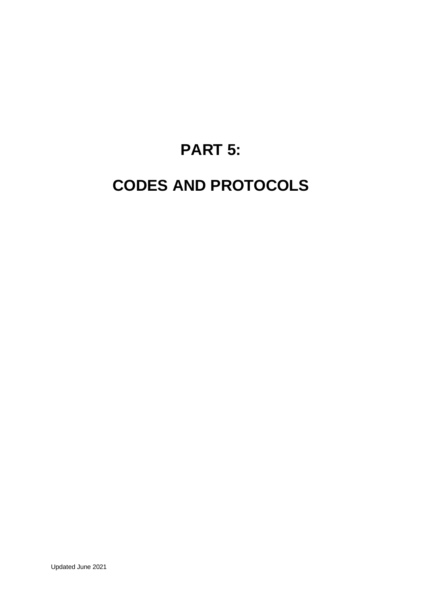## **PART 5:**

## **CODES AND PROTOCOLS**

Updated June 2021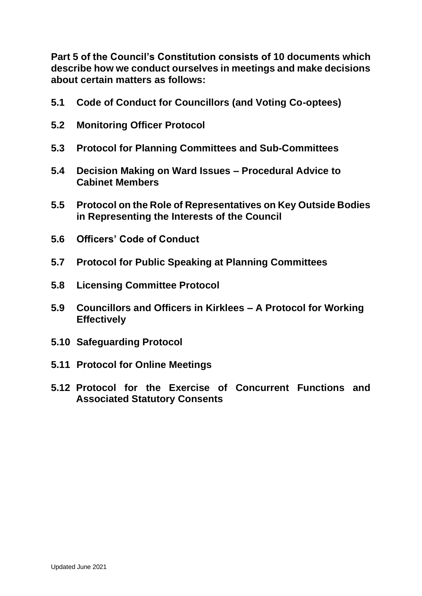**Part 5 of the Council's Constitution consists of 10 documents which describe how we conduct ourselves in meetings and make decisions about certain matters as follows:**

- **5.1 Code of Conduct for Councillors (and Voting Co-optees)**
- **5.2 Monitoring Officer Protocol**
- **5.3 Protocol for Planning Committees and Sub-Committees**
- **5.4 Decision Making on Ward Issues – Procedural Advice to Cabinet Members**
- **5.5 Protocol on the Role of Representatives on Key Outside Bodies in Representing the Interests of the Council**
- **5.6 Officers' Code of Conduct**
- **5.7 Protocol for Public Speaking at Planning Committees**
- **5.8 Licensing Committee Protocol**
- **5.9 Councillors and Officers in Kirklees – A Protocol for Working Effectively**
- **5.10 Safeguarding Protocol**
- **5.11 Protocol for Online Meetings**
- **5.12 Protocol for the Exercise of Concurrent Functions and Associated Statutory Consents**